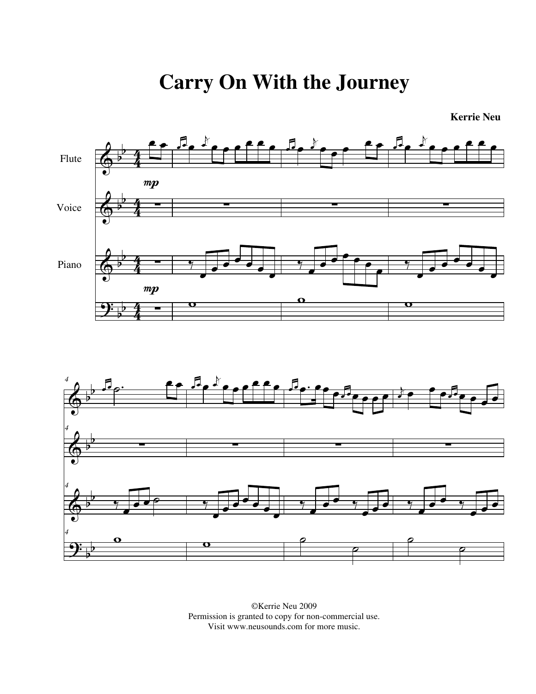**Carry On With the Journey**

**Kerrie Neu**



<sup>©</sup>Kerrie Neu 2009 Permission is granted to copy for non-commercial use. Visit www.neusounds.com for more music.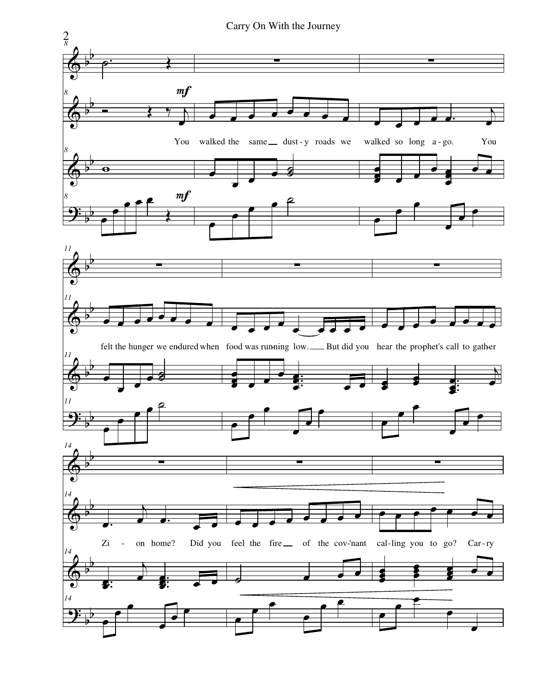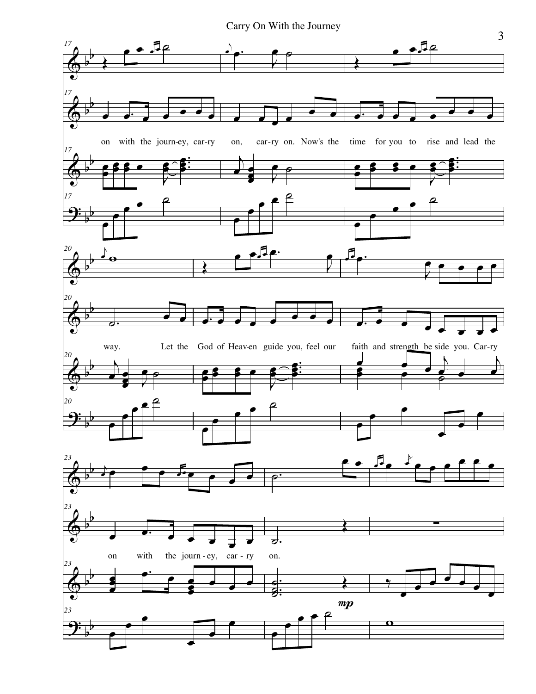Carry On With the Journey

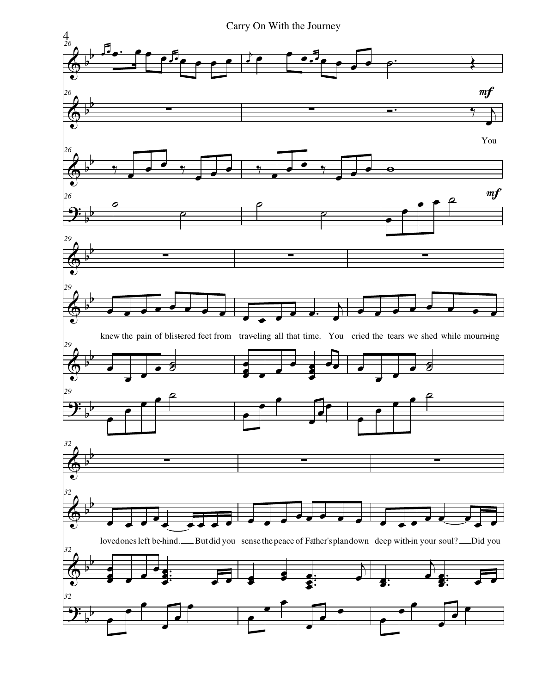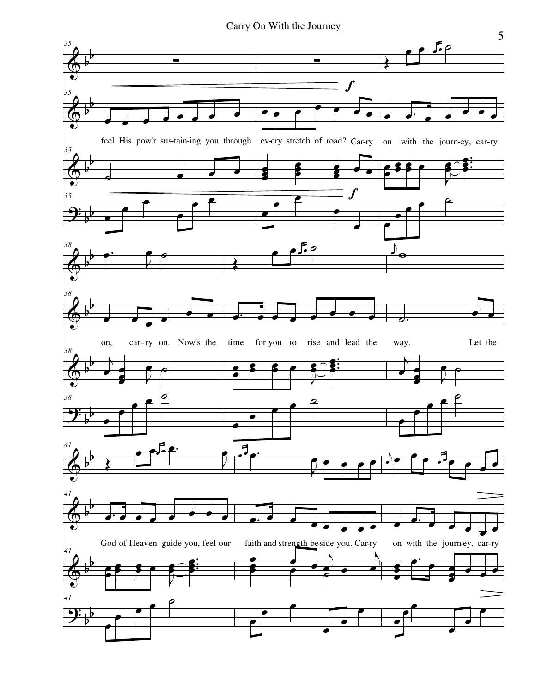Carry On With the Journey

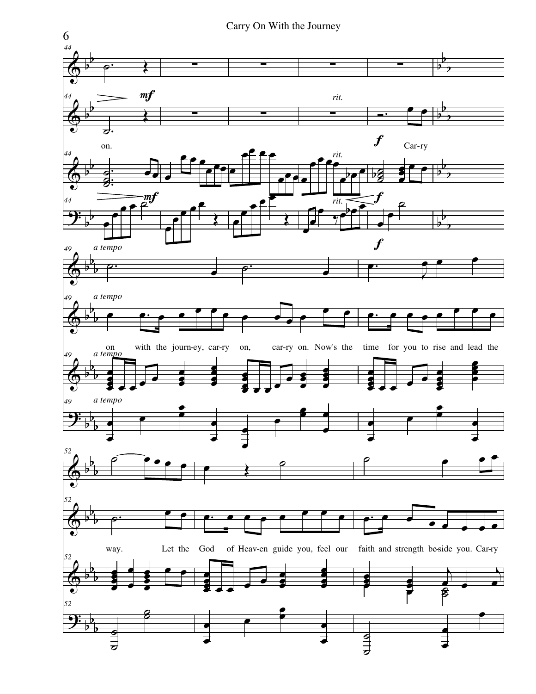

Carry On With the Journey